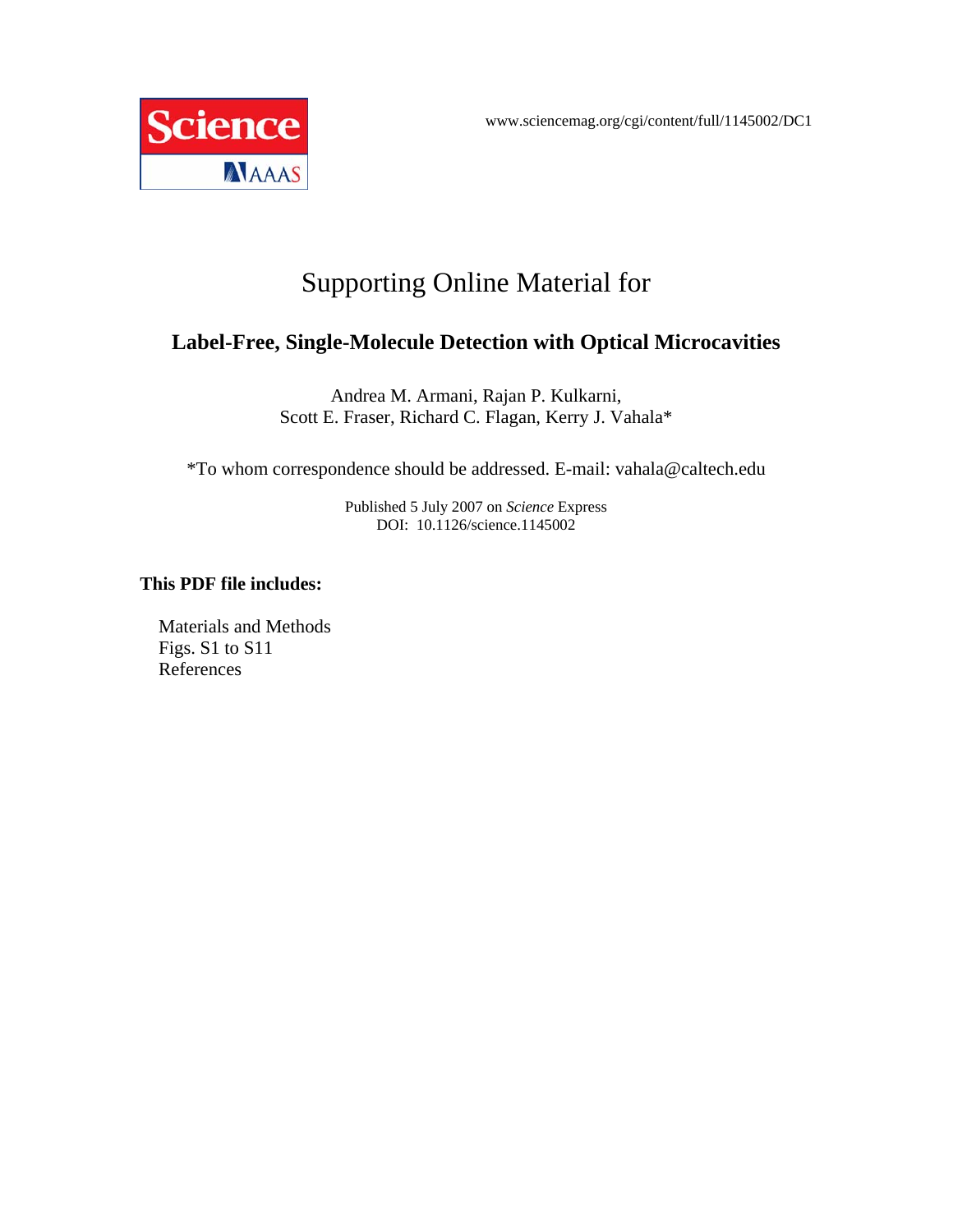

# Supporting Online Material for

# **Label-Free, Single-Molecule Detection with Optical Microcavities**

Andrea M. Armani, Rajan P. Kulkarni, Scott E. Fraser, Richard C. Flagan, Kerry J. Vahala\*

\*To whom correspondence should be addressed. E-mail: vahala@caltech.edu

Published 5 July 2007 on *Science* Express DOI: 10.1126/science.1145002

#### **This PDF file includes:**

Materials and Methods Figs. S1 to S11 References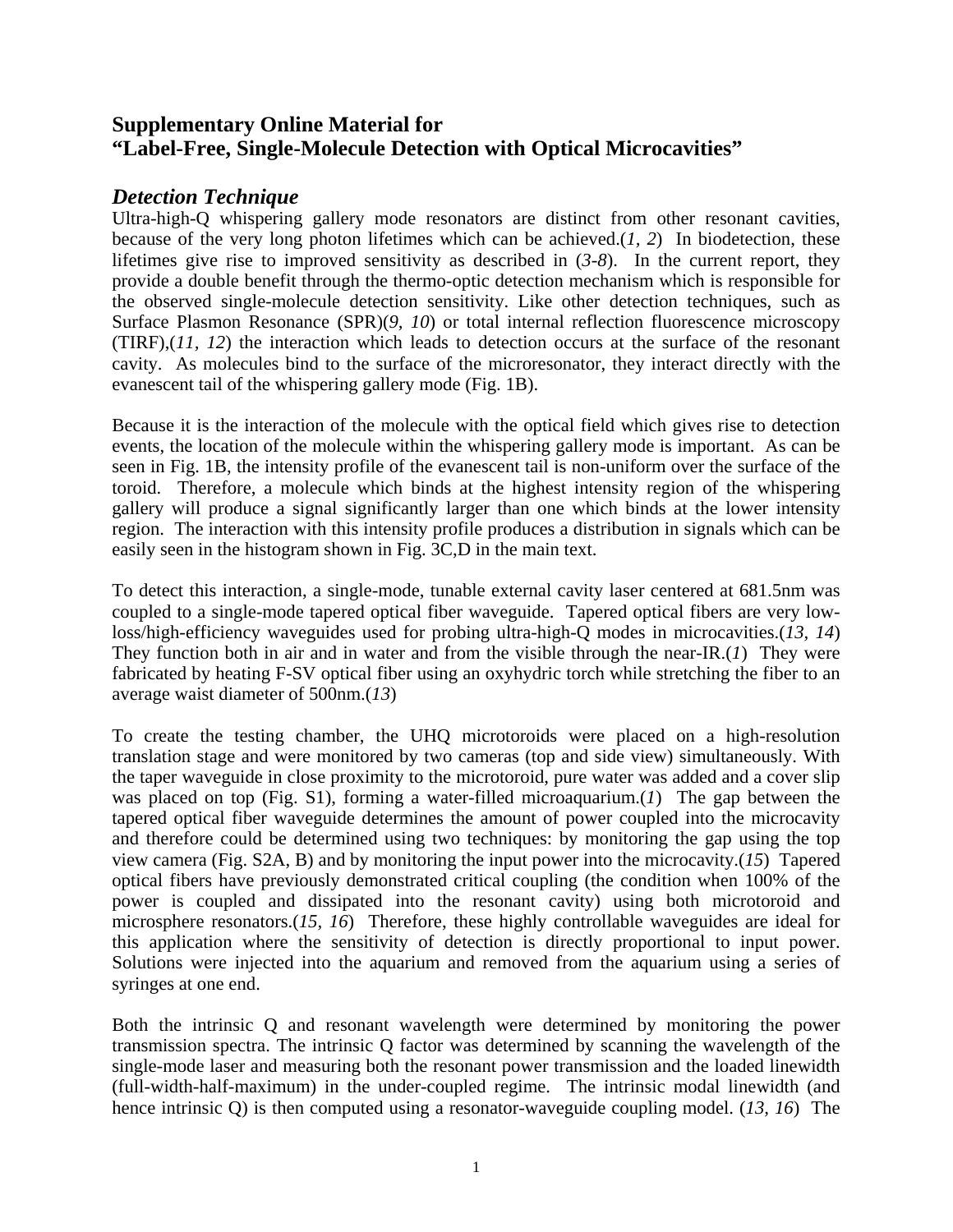## **Supplementary Online Material for "Label-Free, Single-Molecule Detection with Optical Microcavities"**

#### *Detection Technique*

Ultra-high-Q whispering gallery mode resonators are distinct from other resonant cavities, because of the very long photon lifetimes which can be achieved.(*1, 2*) In biodetection, these lifetimes give rise to improved sensitivity as described in (*3-8*). In the current report, they provide a double benefit through the thermo-optic detection mechanism which is responsible for the observed single-molecule detection sensitivity. Like other detection techniques, such as Surface Plasmon Resonance (SPR)(*9, 10*) or total internal reflection fluorescence microscopy (TIRF),(*11, 12*) the interaction which leads to detection occurs at the surface of the resonant cavity. As molecules bind to the surface of the microresonator, they interact directly with the evanescent tail of the whispering gallery mode (Fig. 1B).

Because it is the interaction of the molecule with the optical field which gives rise to detection events, the location of the molecule within the whispering gallery mode is important. As can be seen in Fig. 1B, the intensity profile of the evanescent tail is non-uniform over the surface of the toroid. Therefore, a molecule which binds at the highest intensity region of the whispering gallery will produce a signal significantly larger than one which binds at the lower intensity region. The interaction with this intensity profile produces a distribution in signals which can be easily seen in the histogram shown in Fig. 3C,D in the main text.

To detect this interaction, a single-mode, tunable external cavity laser centered at 681.5nm was coupled to a single-mode tapered optical fiber waveguide. Tapered optical fibers are very lowloss/high-efficiency waveguides used for probing ultra-high-Q modes in microcavities.(*13, 14*) They function both in air and in water and from the visible through the near-IR.(*1*) They were fabricated by heating F-SV optical fiber using an oxyhydric torch while stretching the fiber to an average waist diameter of 500nm.(*13*)

To create the testing chamber, the UHQ microtoroids were placed on a high-resolution translation stage and were monitored by two cameras (top and side view) simultaneously. With the taper waveguide in close proximity to the microtoroid, pure water was added and a cover slip was placed on top (Fig. S1), forming a water-filled microaquarium.(*1*) The gap between the tapered optical fiber waveguide determines the amount of power coupled into the microcavity and therefore could be determined using two techniques: by monitoring the gap using the top view camera (Fig. S2A, B) and by monitoring the input power into the microcavity.(*15*) Tapered optical fibers have previously demonstrated critical coupling (the condition when 100% of the power is coupled and dissipated into the resonant cavity) using both microtoroid and microsphere resonators.(*15, 16*) Therefore, these highly controllable waveguides are ideal for this application where the sensitivity of detection is directly proportional to input power. Solutions were injected into the aquarium and removed from the aquarium using a series of syringes at one end.

Both the intrinsic Q and resonant wavelength were determined by monitoring the power transmission spectra. The intrinsic Q factor was determined by scanning the wavelength of the single-mode laser and measuring both the resonant power transmission and the loaded linewidth (full-width-half-maximum) in the under-coupled regime. The intrinsic modal linewidth (and hence intrinsic Q) is then computed using a resonator-waveguide coupling model. (*13, 16*) The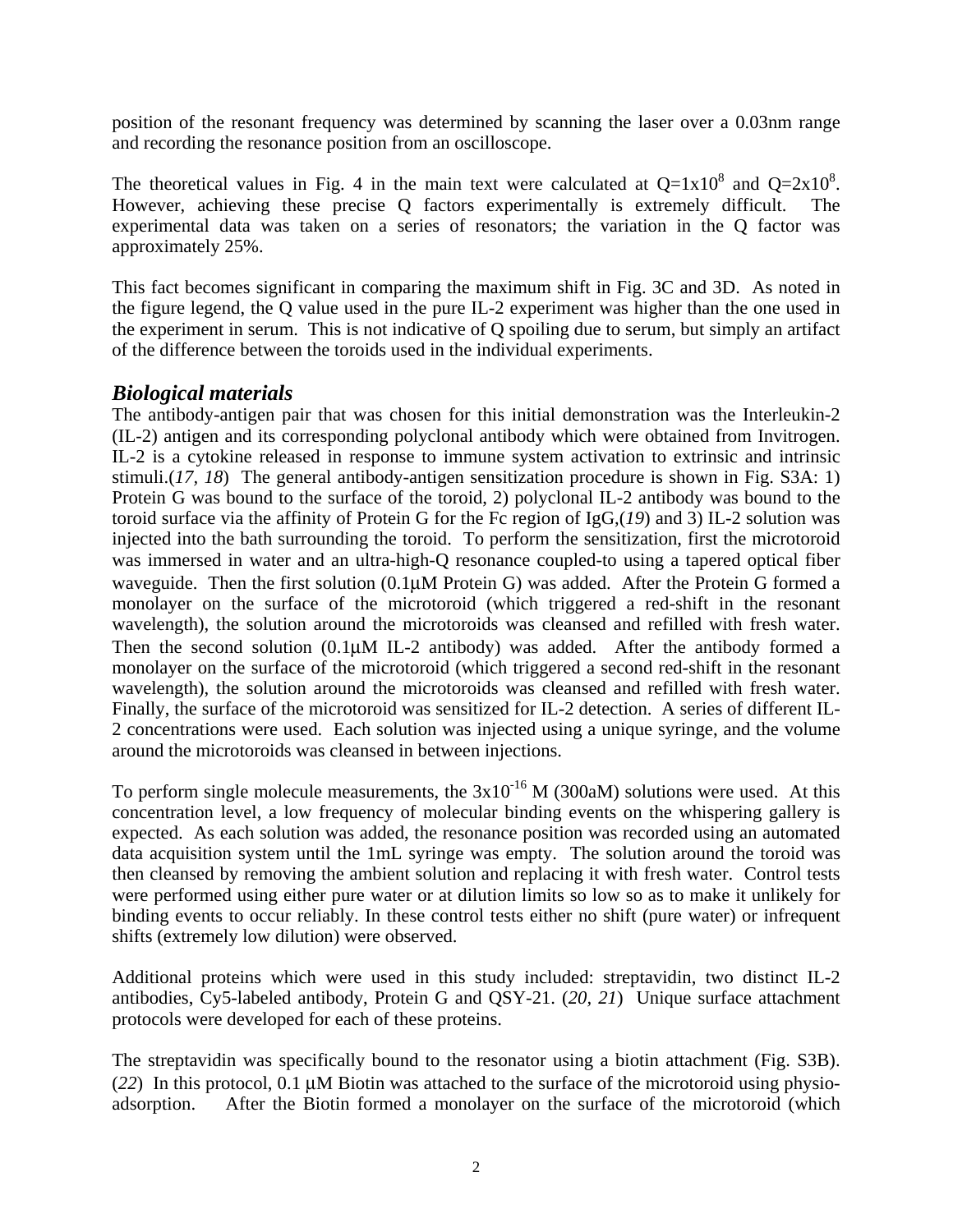position of the resonant frequency was determined by scanning the laser over a 0.03nm range and recording the resonance position from an oscilloscope.

The theoretical values in Fig. 4 in the main text were calculated at  $Q=1x10^8$  and  $Q=2x10^8$ . However, achieving these precise Q factors experimentally is extremely difficult. The experimental data was taken on a series of resonators; the variation in the Q factor was approximately 25%.

This fact becomes significant in comparing the maximum shift in Fig. 3C and 3D. As noted in the figure legend, the Q value used in the pure IL-2 experiment was higher than the one used in the experiment in serum. This is not indicative of Q spoiling due to serum, but simply an artifact of the difference between the toroids used in the individual experiments.

### *Biological materials*

The antibody-antigen pair that was chosen for this initial demonstration was the Interleukin-2 (IL-2) antigen and its corresponding polyclonal antibody which were obtained from Invitrogen. IL-2 is a cytokine released in response to immune system activation to extrinsic and intrinsic stimuli.(*17, 18*) The general antibody-antigen sensitization procedure is shown in Fig. S3A: 1) Protein G was bound to the surface of the toroid, 2) polyclonal IL-2 antibody was bound to the toroid surface via the affinity of Protein G for the Fc region of IgG,(*19*) and 3) IL-2 solution was injected into the bath surrounding the toroid. To perform the sensitization, first the microtoroid was immersed in water and an ultra-high-Q resonance coupled-to using a tapered optical fiber waveguide. Then the first solution (0.1uM Protein G) was added. After the Protein G formed a monolayer on the surface of the microtoroid (which triggered a red-shift in the resonant wavelength), the solution around the microtoroids was cleansed and refilled with fresh water. Then the second solution (0.1µM IL-2 antibody) was added. After the antibody formed a monolayer on the surface of the microtoroid (which triggered a second red-shift in the resonant wavelength), the solution around the microtoroids was cleansed and refilled with fresh water. Finally, the surface of the microtoroid was sensitized for IL-2 detection. A series of different IL-2 concentrations were used. Each solution was injected using a unique syringe, and the volume around the microtoroids was cleansed in between injections.

To perform single molecule measurements, the  $3x10^{-16}$  M (300aM) solutions were used. At this concentration level, a low frequency of molecular binding events on the whispering gallery is expected. As each solution was added, the resonance position was recorded using an automated data acquisition system until the 1mL syringe was empty. The solution around the toroid was then cleansed by removing the ambient solution and replacing it with fresh water. Control tests were performed using either pure water or at dilution limits so low so as to make it unlikely for binding events to occur reliably. In these control tests either no shift (pure water) or infrequent shifts (extremely low dilution) were observed.

Additional proteins which were used in this study included: streptavidin, two distinct IL-2 antibodies, Cy5-labeled antibody, Protein G and QSY-21. (*20, 21*) Unique surface attachment protocols were developed for each of these proteins.

The streptavidin was specifically bound to the resonator using a biotin attachment (Fig. S3B). (*22*) In this protocol, 0.1 µM Biotin was attached to the surface of the microtoroid using physioadsorption. After the Biotin formed a monolayer on the surface of the microtoroid (which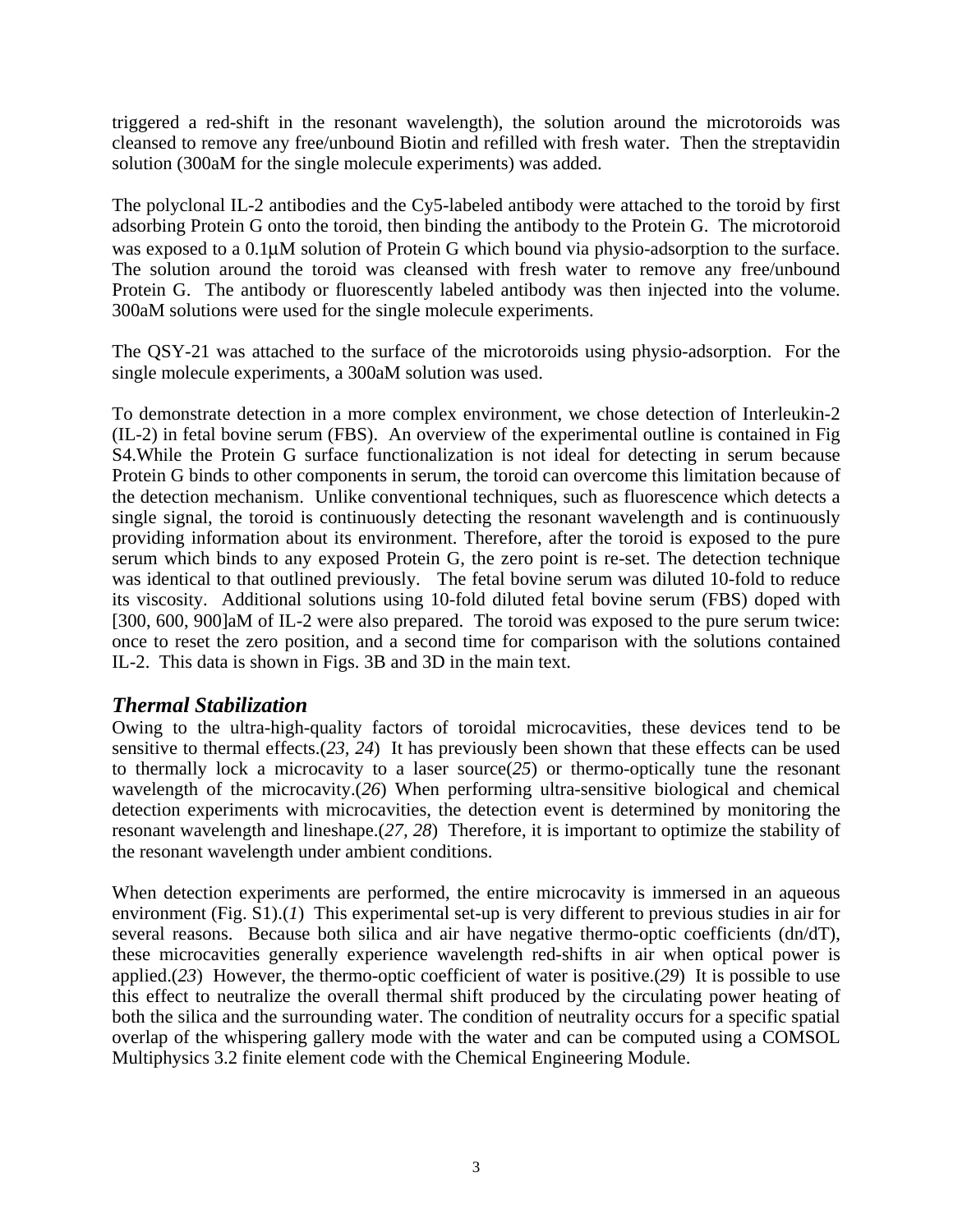triggered a red-shift in the resonant wavelength), the solution around the microtoroids was cleansed to remove any free/unbound Biotin and refilled with fresh water. Then the streptavidin solution (300aM for the single molecule experiments) was added.

The polyclonal IL-2 antibodies and the Cy5-labeled antibody were attached to the toroid by first adsorbing Protein G onto the toroid, then binding the antibody to the Protein G. The microtoroid was exposed to a  $0.1\mu$ M solution of Protein G which bound via physio-adsorption to the surface. The solution around the toroid was cleansed with fresh water to remove any free/unbound Protein G. The antibody or fluorescently labeled antibody was then injected into the volume. 300aM solutions were used for the single molecule experiments.

The QSY-21 was attached to the surface of the microtoroids using physio-adsorption. For the single molecule experiments, a 300aM solution was used.

To demonstrate detection in a more complex environment, we chose detection of Interleukin-2 (IL-2) in fetal bovine serum (FBS). An overview of the experimental outline is contained in Fig S4.While the Protein G surface functionalization is not ideal for detecting in serum because Protein G binds to other components in serum, the toroid can overcome this limitation because of the detection mechanism. Unlike conventional techniques, such as fluorescence which detects a single signal, the toroid is continuously detecting the resonant wavelength and is continuously providing information about its environment. Therefore, after the toroid is exposed to the pure serum which binds to any exposed Protein G, the zero point is re-set. The detection technique was identical to that outlined previously. The fetal bovine serum was diluted 10-fold to reduce its viscosity. Additional solutions using 10-fold diluted fetal bovine serum (FBS) doped with [300, 600, 900]aM of IL-2 were also prepared. The toroid was exposed to the pure serum twice: once to reset the zero position, and a second time for comparison with the solutions contained IL-2. This data is shown in Figs. 3B and 3D in the main text.

### *Thermal Stabilization*

Owing to the ultra-high-quality factors of toroidal microcavities, these devices tend to be sensitive to thermal effects.(*23, 24*) It has previously been shown that these effects can be used to thermally lock a microcavity to a laser source(*25*) or thermo-optically tune the resonant wavelength of the microcavity.(*26*) When performing ultra-sensitive biological and chemical detection experiments with microcavities, the detection event is determined by monitoring the resonant wavelength and lineshape.(*27, 28*) Therefore, it is important to optimize the stability of the resonant wavelength under ambient conditions.

When detection experiments are performed, the entire microcavity is immersed in an aqueous environment (Fig. S1).(*1*) This experimental set-up is very different to previous studies in air for several reasons. Because both silica and air have negative thermo-optic coefficients (dn/dT), these microcavities generally experience wavelength red-shifts in air when optical power is applied.(*23*) However, the thermo-optic coefficient of water is positive.(*29*) It is possible to use this effect to neutralize the overall thermal shift produced by the circulating power heating of both the silica and the surrounding water. The condition of neutrality occurs for a specific spatial overlap of the whispering gallery mode with the water and can be computed using a COMSOL Multiphysics 3.2 finite element code with the Chemical Engineering Module.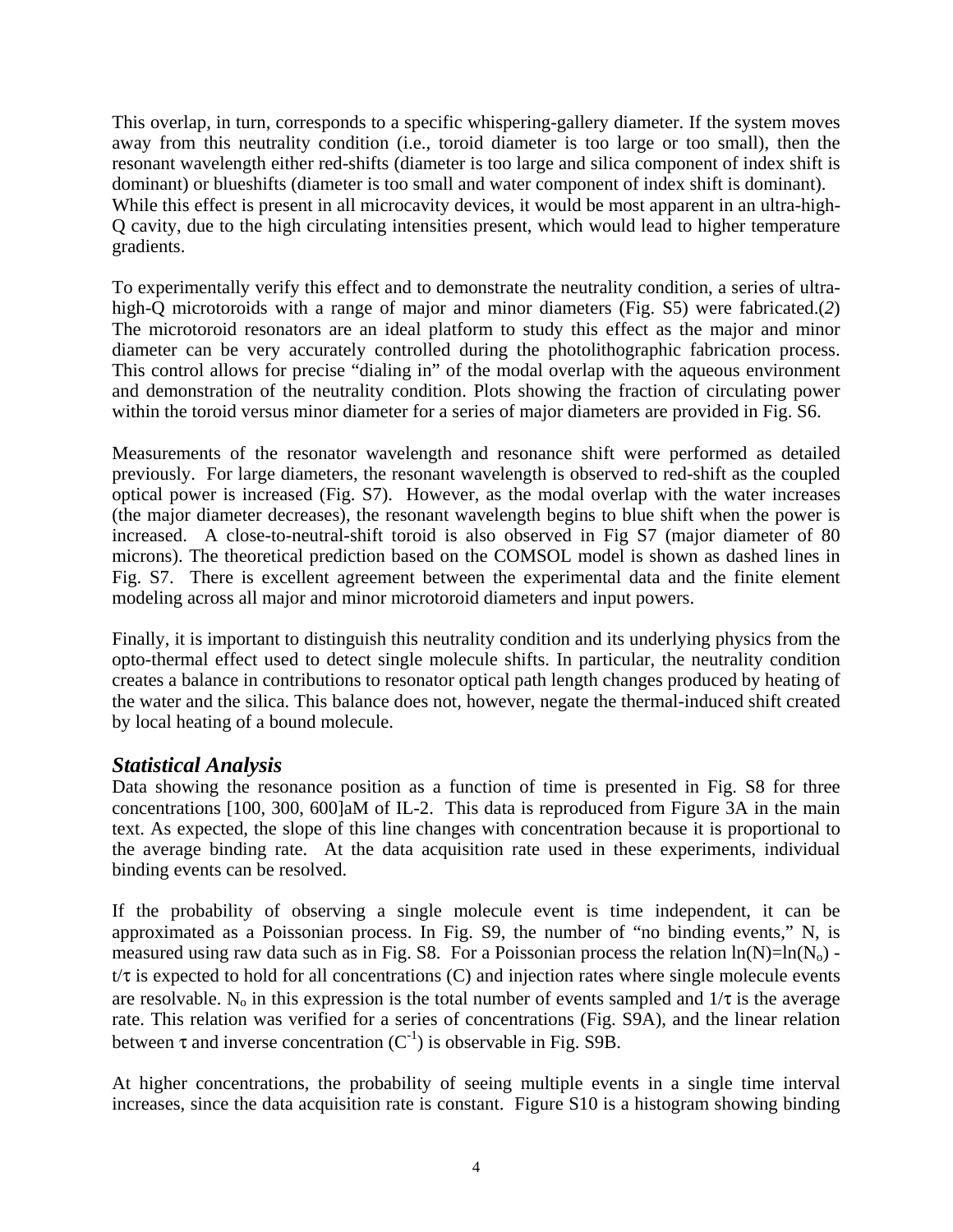This overlap, in turn, corresponds to a specific whispering-gallery diameter. If the system moves away from this neutrality condition (i.e., toroid diameter is too large or too small), then the resonant wavelength either red-shifts (diameter is too large and silica component of index shift is dominant) or blueshifts (diameter is too small and water component of index shift is dominant). While this effect is present in all microcavity devices, it would be most apparent in an ultra-high-Q cavity, due to the high circulating intensities present, which would lead to higher temperature gradients.

To experimentally verify this effect and to demonstrate the neutrality condition, a series of ultrahigh-Q microtoroids with a range of major and minor diameters (Fig. S5) were fabricated.(*2*) The microtoroid resonators are an ideal platform to study this effect as the major and minor diameter can be very accurately controlled during the photolithographic fabrication process. This control allows for precise "dialing in" of the modal overlap with the aqueous environment and demonstration of the neutrality condition. Plots showing the fraction of circulating power within the toroid versus minor diameter for a series of major diameters are provided in Fig. S6.

Measurements of the resonator wavelength and resonance shift were performed as detailed previously. For large diameters, the resonant wavelength is observed to red-shift as the coupled optical power is increased (Fig. S7). However, as the modal overlap with the water increases (the major diameter decreases), the resonant wavelength begins to blue shift when the power is increased. A close-to-neutral-shift toroid is also observed in Fig S7 (major diameter of 80 microns). The theoretical prediction based on the COMSOL model is shown as dashed lines in Fig. S7. There is excellent agreement between the experimental data and the finite element modeling across all major and minor microtoroid diameters and input powers.

Finally, it is important to distinguish this neutrality condition and its underlying physics from the opto-thermal effect used to detect single molecule shifts. In particular, the neutrality condition creates a balance in contributions to resonator optical path length changes produced by heating of the water and the silica. This balance does not, however, negate the thermal-induced shift created by local heating of a bound molecule.

### *Statistical Analysis*

Data showing the resonance position as a function of time is presented in Fig. S8 for three concentrations [100, 300, 600]aM of IL-2. This data is reproduced from Figure 3A in the main text. As expected, the slope of this line changes with concentration because it is proportional to the average binding rate. At the data acquisition rate used in these experiments, individual binding events can be resolved.

If the probability of observing a single molecule event is time independent, it can be approximated as a Poissonian process. In Fig. S9, the number of "no binding events," N, is measured using raw data such as in Fig. S8. For a Poissonian process the relation  $ln(N)=ln(N_0)$   $t/\tau$  is expected to hold for all concentrations (C) and injection rates where single molecule events are resolvable. N<sub>o</sub> in this expression is the total number of events sampled and  $1/\tau$  is the average rate. This relation was verified for a series of concentrations (Fig. S9A), and the linear relation between  $\tau$  and inverse concentration  $(C^{-1})$  is observable in Fig. S9B.

At higher concentrations, the probability of seeing multiple events in a single time interval increases, since the data acquisition rate is constant. Figure S10 is a histogram showing binding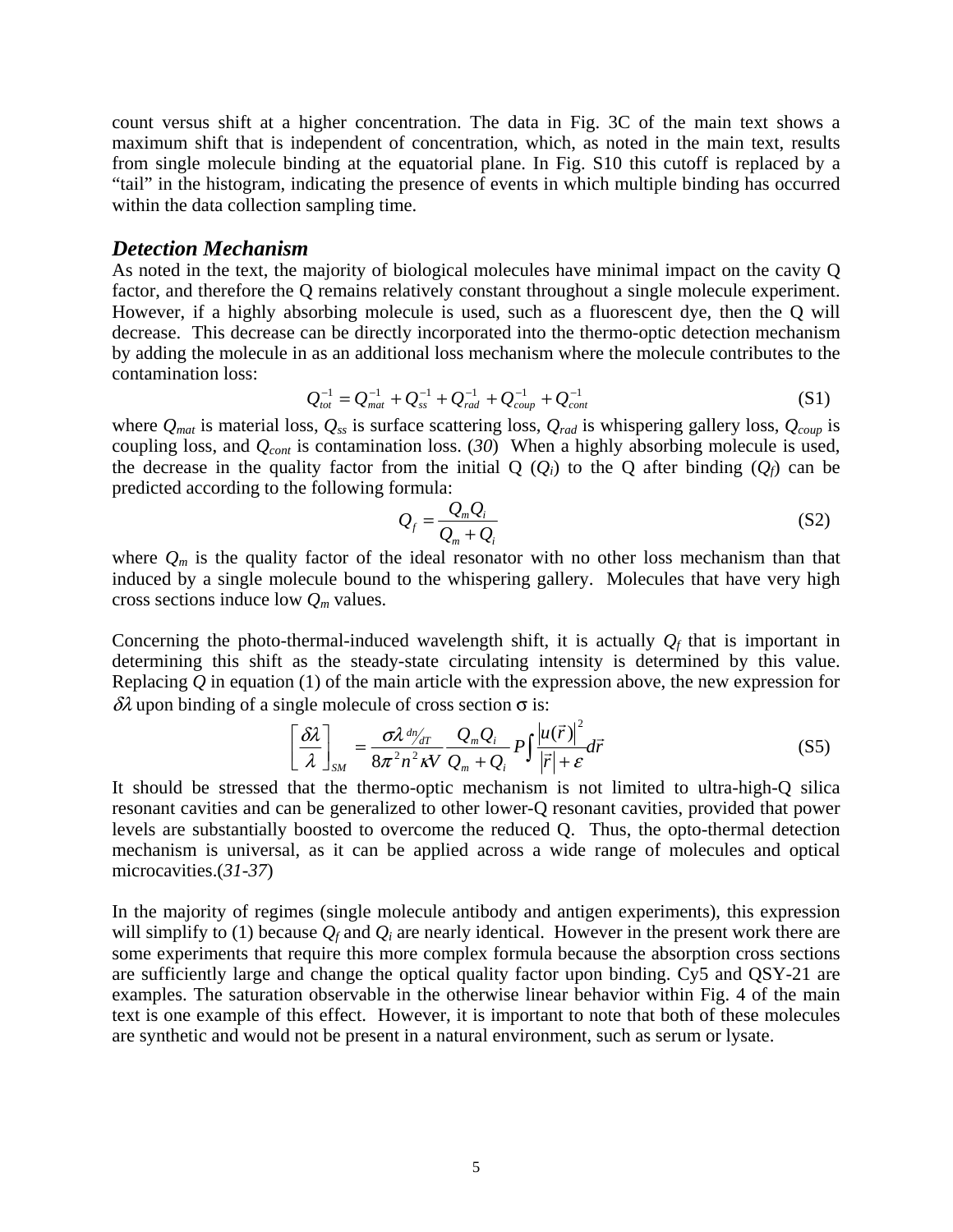count versus shift at a higher concentration. The data in Fig. 3C of the main text shows a maximum shift that is independent of concentration, which, as noted in the main text, results from single molecule binding at the equatorial plane. In Fig. S10 this cutoff is replaced by a "tail" in the histogram, indicating the presence of events in which multiple binding has occurred within the data collection sampling time.

#### *Detection Mechanism*

As noted in the text, the majority of biological molecules have minimal impact on the cavity Q factor, and therefore the Q remains relatively constant throughout a single molecule experiment. However, if a highly absorbing molecule is used, such as a fluorescent dye, then the Q will decrease. This decrease can be directly incorporated into the thermo-optic detection mechanism by adding the molecule in as an additional loss mechanism where the molecule contributes to the contamination loss:

$$
Q_{tot}^{-1} = Q_{mat}^{-1} + Q_{ss}^{-1} + Q_{rad}^{-1} + Q_{coup}^{-1} + Q_{cont}^{-1}
$$
 (S1)

where  $Q_{mat}$  is material loss,  $Q_{ss}$  is surface scattering loss,  $Q_{rad}$  is whispering gallery loss,  $Q_{coup}$  is coupling loss, and *Qcont* is contamination loss. (*30*) When a highly absorbing molecule is used, the decrease in the quality factor from the initial  $Q(Q_i)$  to the Q after binding  $(Q_f)$  can be predicted according to the following formula:

$$
Q_f = \frac{Q_m Q_i}{Q_m + Q_i} \tag{S2}
$$

where  $Q_m$  is the quality factor of the ideal resonator with no other loss mechanism than that induced by a single molecule bound to the whispering gallery. Molecules that have very high cross sections induce low *Qm* values.

Concerning the photo-thermal-induced wavelength shift, it is actually  $Q_f$  that is important in determining this shift as the steady-state circulating intensity is determined by this value. Replacing *Q* in equation (1) of the main article with the expression above, the new expression for  $δλ$  upon binding of a single molecule of cross section  $σ$  is:

$$
\left[\frac{\delta\lambda}{\lambda}\right]_{SM} = \frac{\sigma\lambda^{dn}/\pi}{8\pi^2 n^2 \kappa V} \frac{Q_m Q_i}{Q_m + Q_i} P \int \frac{|u(\vec{r})|^2}{|\vec{r}| + \varepsilon} d\vec{r}
$$
(S5)

It should be stressed that the thermo-optic mechanism is not limited to ultra-high-Q silica resonant cavities and can be generalized to other lower-Q resonant cavities, provided that power levels are substantially boosted to overcome the reduced Q. Thus, the opto-thermal detection mechanism is universal, as it can be applied across a wide range of molecules and optical microcavities.(*31-37*)

In the majority of regimes (single molecule antibody and antigen experiments), this expression will simplify to (1) because  $Q_f$  and  $Q_i$  are nearly identical. However in the present work there are some experiments that require this more complex formula because the absorption cross sections are sufficiently large and change the optical quality factor upon binding. Cy5 and QSY-21 are examples. The saturation observable in the otherwise linear behavior within Fig. 4 of the main text is one example of this effect. However, it is important to note that both of these molecules are synthetic and would not be present in a natural environment, such as serum or lysate.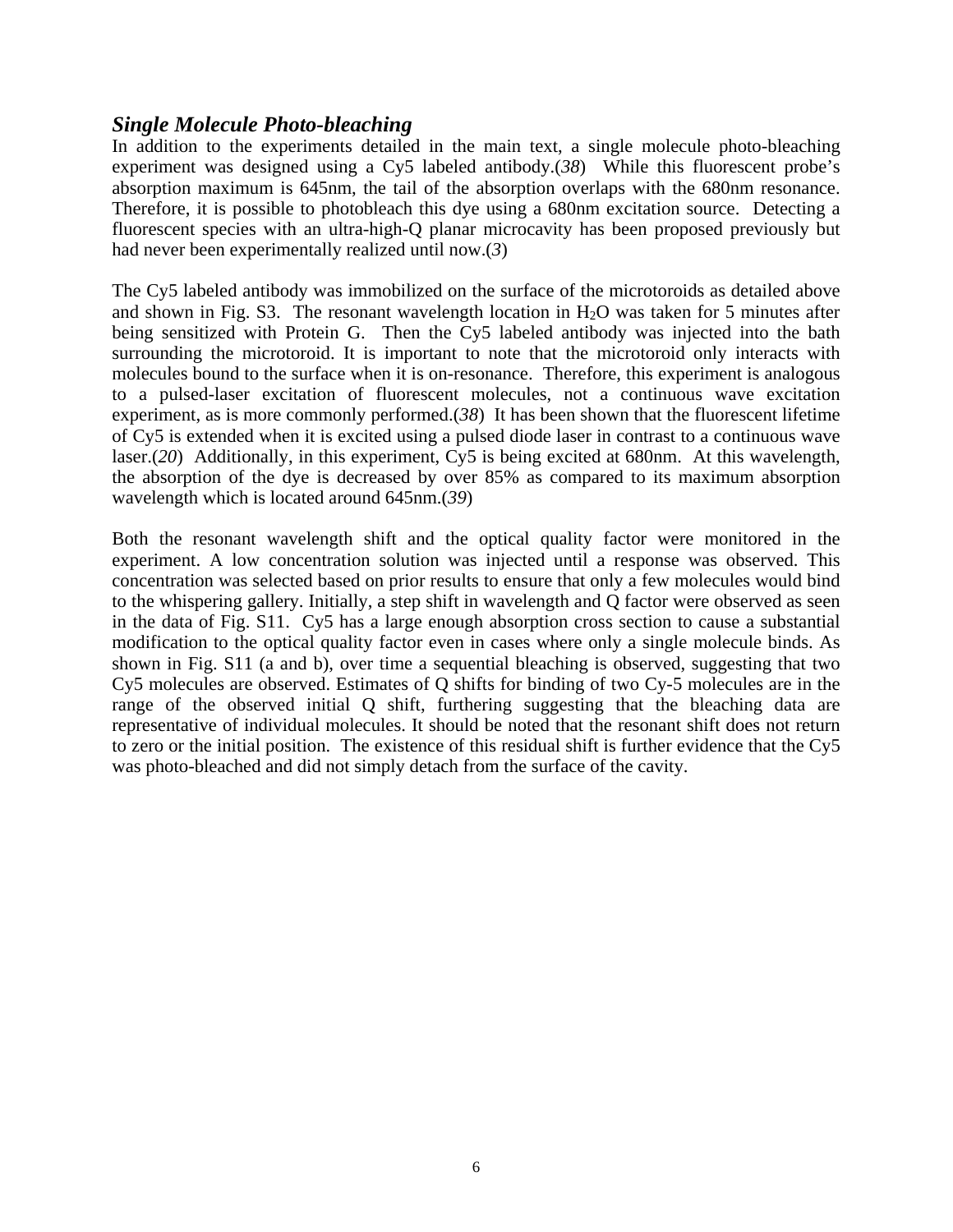#### *Single Molecule Photo-bleaching*

In addition to the experiments detailed in the main text, a single molecule photo-bleaching experiment was designed using a Cy5 labeled antibody.(*38*) While this fluorescent probe's absorption maximum is 645nm, the tail of the absorption overlaps with the 680nm resonance. Therefore, it is possible to photobleach this dye using a 680nm excitation source. Detecting a fluorescent species with an ultra-high-Q planar microcavity has been proposed previously but had never been experimentally realized until now.(*3*)

The Cy5 labeled antibody was immobilized on the surface of the microtoroids as detailed above and shown in Fig. S3. The resonant wavelength location in  $H_2O$  was taken for 5 minutes after being sensitized with Protein G. Then the Cy5 labeled antibody was injected into the bath surrounding the microtoroid. It is important to note that the microtoroid only interacts with molecules bound to the surface when it is on-resonance. Therefore, this experiment is analogous to a pulsed-laser excitation of fluorescent molecules, not a continuous wave excitation experiment, as is more commonly performed. $(38)$  It has been shown that the fluorescent lifetime of Cy5 is extended when it is excited using a pulsed diode laser in contrast to a continuous wave laser.(*20*) Additionally, in this experiment, Cy5 is being excited at 680nm. At this wavelength, the absorption of the dye is decreased by over 85% as compared to its maximum absorption wavelength which is located around 645nm.(*39*)

Both the resonant wavelength shift and the optical quality factor were monitored in the experiment. A low concentration solution was injected until a response was observed. This concentration was selected based on prior results to ensure that only a few molecules would bind to the whispering gallery. Initially, a step shift in wavelength and Q factor were observed as seen in the data of Fig. S11. Cy5 has a large enough absorption cross section to cause a substantial modification to the optical quality factor even in cases where only a single molecule binds. As shown in Fig. S11 (a and b), over time a sequential bleaching is observed, suggesting that two Cy5 molecules are observed. Estimates of Q shifts for binding of two Cy-5 molecules are in the range of the observed initial Q shift, furthering suggesting that the bleaching data are representative of individual molecules. It should be noted that the resonant shift does not return to zero or the initial position. The existence of this residual shift is further evidence that the Cy5 was photo-bleached and did not simply detach from the surface of the cavity.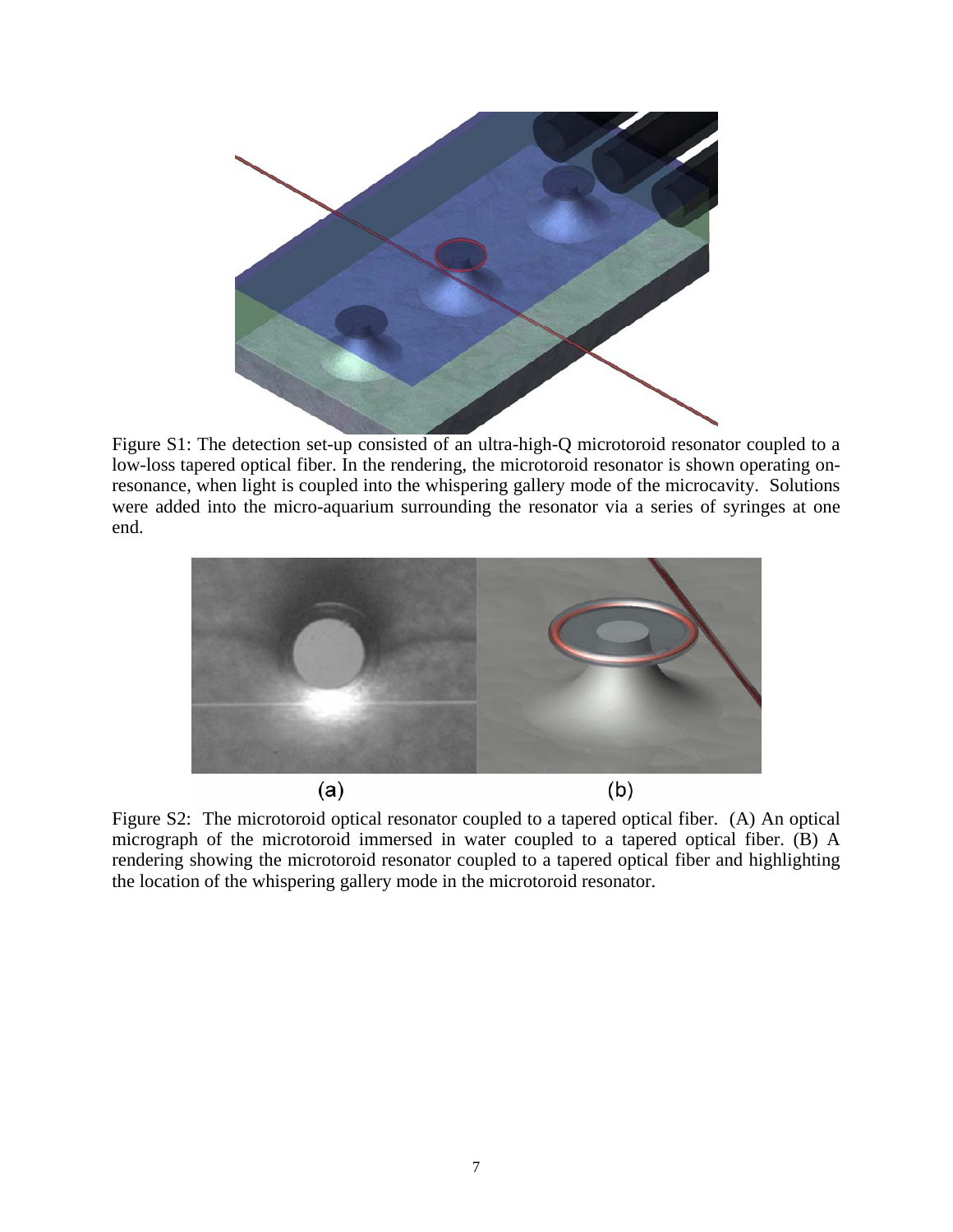

Figure S1: The detection set-up consisted of an ultra-high-Q microtoroid resonator coupled to a low-loss tapered optical fiber. In the rendering, the microtoroid resonator is shown operating onresonance, when light is coupled into the whispering gallery mode of the microcavity. Solutions were added into the micro-aquarium surrounding the resonator via a series of syringes at one end.



Figure S2: The microtoroid optical resonator coupled to a tapered optical fiber. (A) An optical micrograph of the microtoroid immersed in water coupled to a tapered optical fiber. (B) A rendering showing the microtoroid resonator coupled to a tapered optical fiber and highlighting the location of the whispering gallery mode in the microtoroid resonator.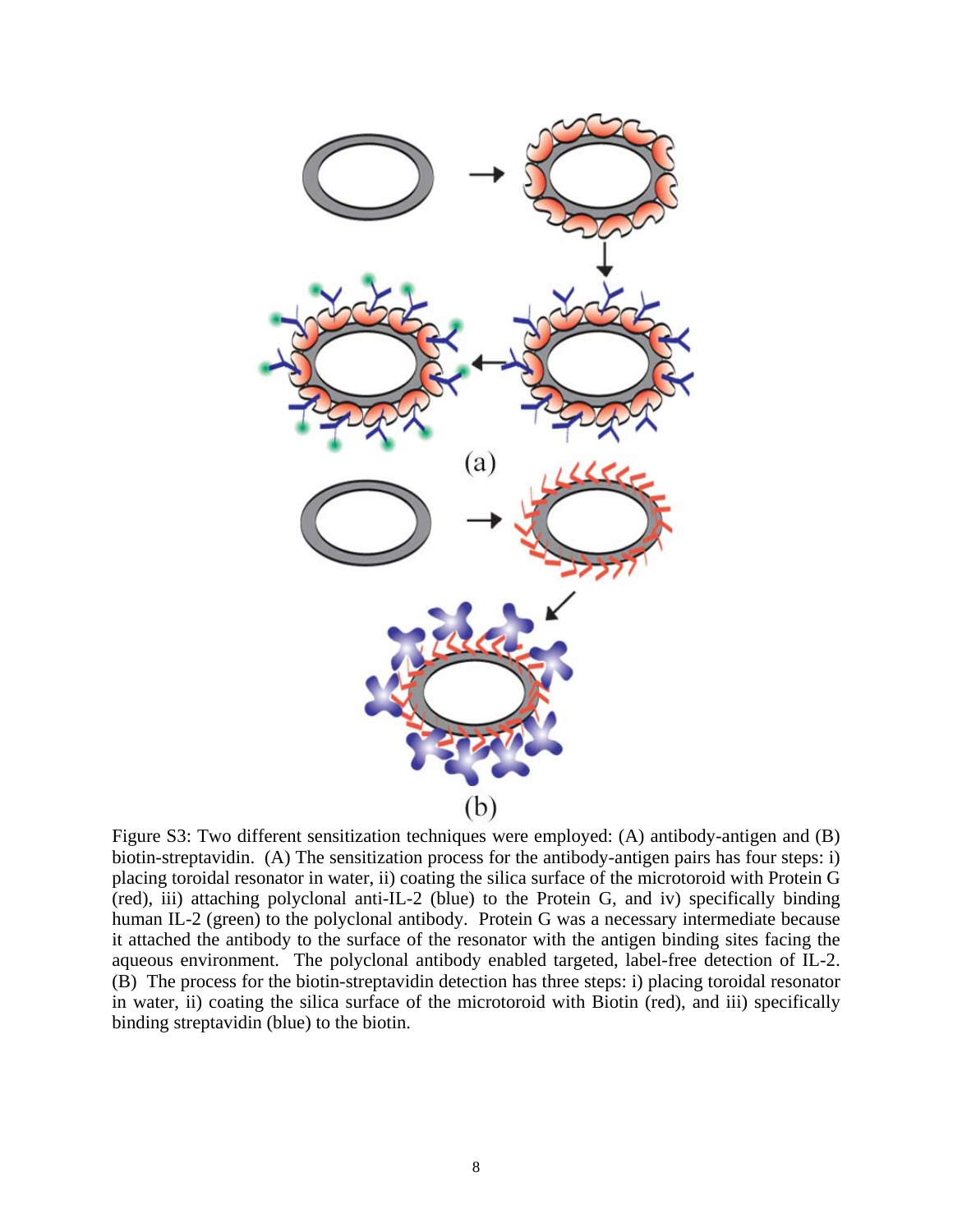

Figure S3: Two different sensitization techniques were employed: (A) antibody-antigen and (B) biotin-streptavidin. (A) The sensitization process for the antibody-antigen pairs has four steps: i) placing toroidal resonator in water, ii) coating the silica surface of the microtoroid with Protein G (red), iii) attaching polyclonal anti-IL-2 (blue) to the Protein G, and iv) specifically binding human IL-2 (green) to the polyclonal antibody. Protein G was a necessary intermediate because it attached the antibody to the surface of the resonator with the antigen binding sites facing the aqueous environment. The polyclonal antibody enabled targeted, label-free detection of IL-2. (B) The process for the biotin-streptavidin detection has three steps: i) placing toroidal resonator in water, ii) coating the silica surface of the microtoroid with Biotin (red), and iii) specifically binding streptavidin (blue) to the biotin.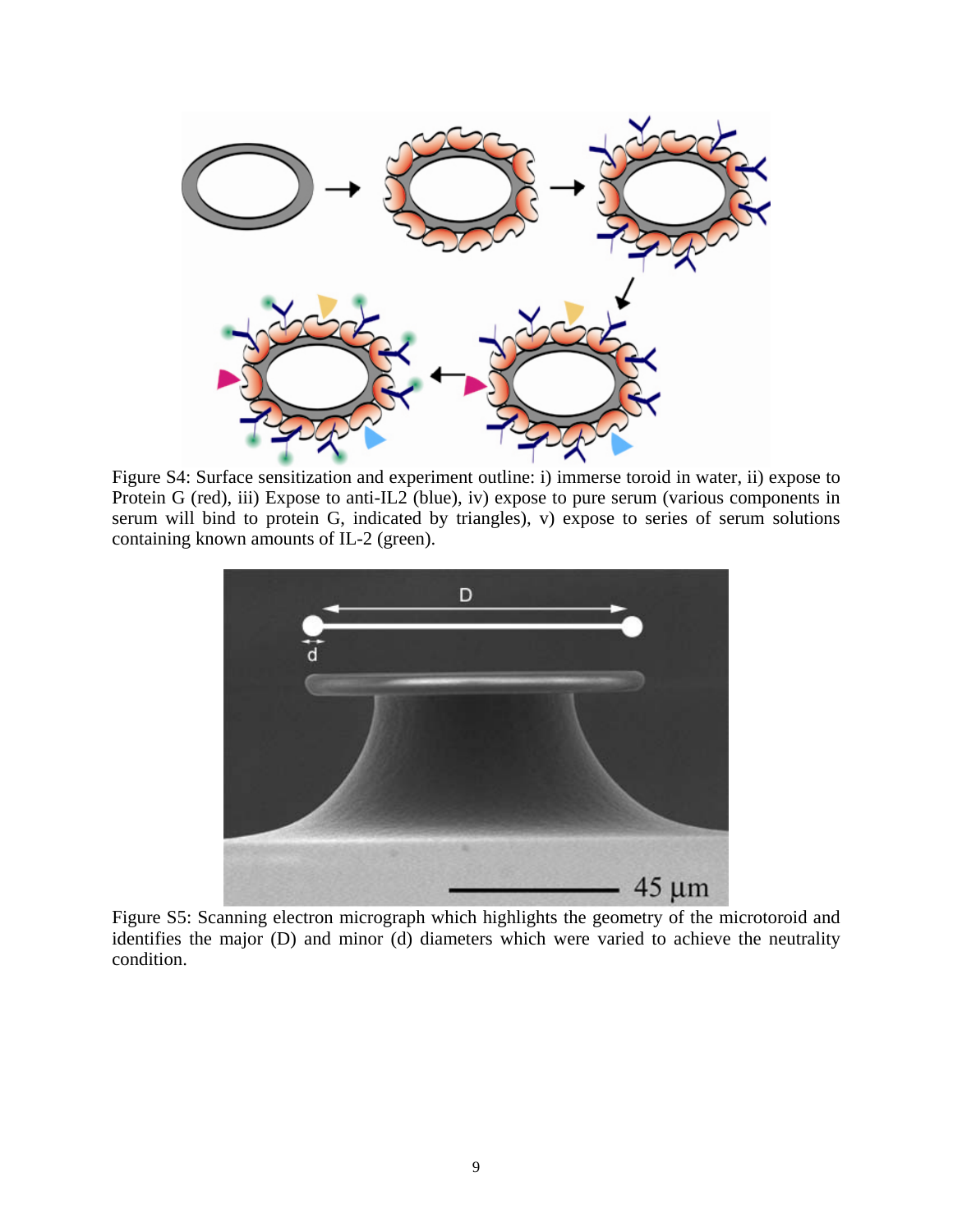

Figure S4: Surface sensitization and experiment outline: i) immerse toroid in water, ii) expose to Protein G (red), iii) Expose to anti-IL2 (blue), iv) expose to pure serum (various components in serum will bind to protein G, indicated by triangles), v) expose to series of serum solutions containing known amounts of IL-2 (green).



Figure S5: Scanning electron micrograph which highlights the geometry of the microtoroid and identifies the major (D) and minor (d) diameters which were varied to achieve the neutrality condition.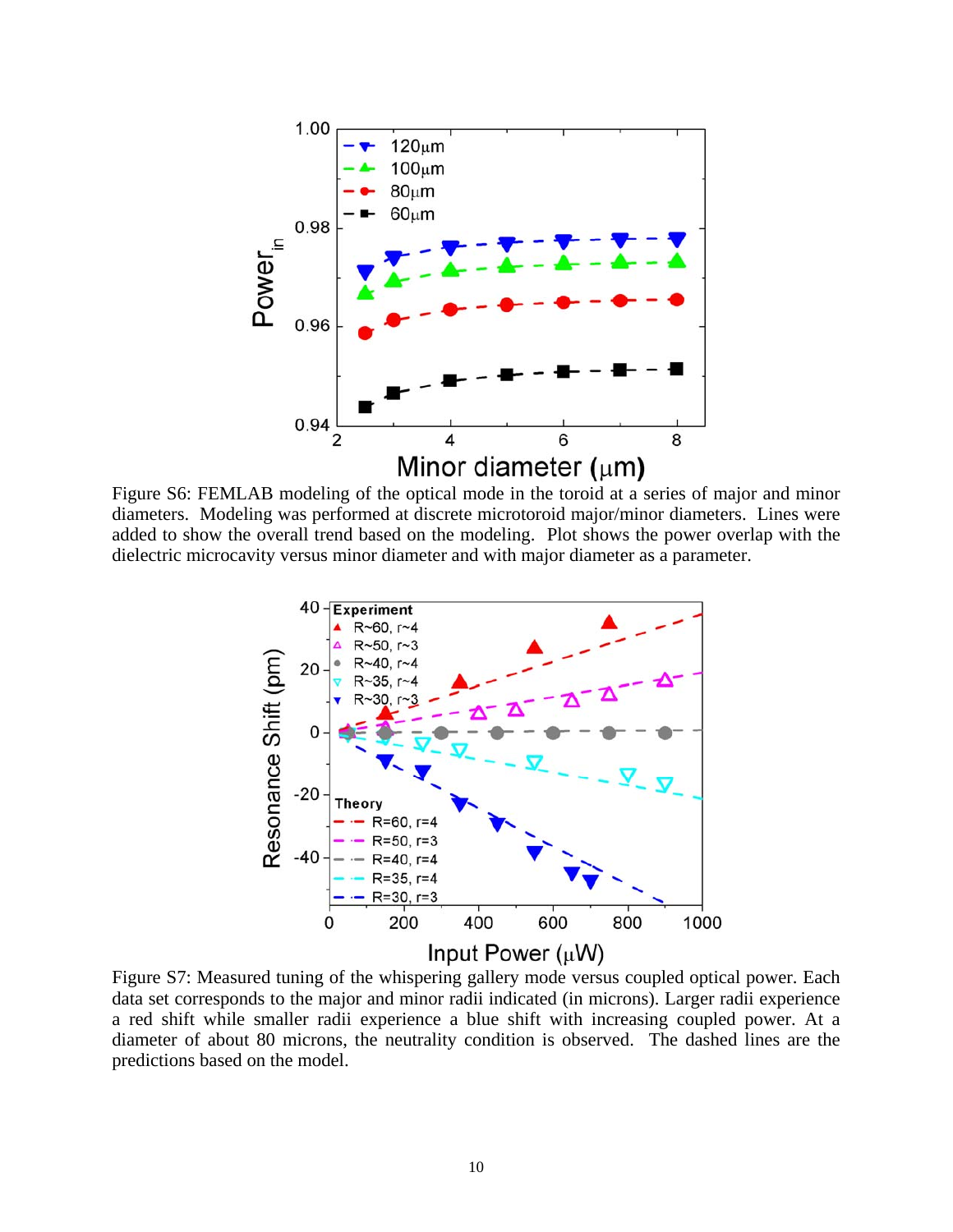

Figure S6: FEMLAB modeling of the optical mode in the toroid at a series of major and minor diameters. Modeling was performed at discrete microtoroid major/minor diameters. Lines were added to show the overall trend based on the modeling. Plot shows the power overlap with the dielectric microcavity versus minor diameter and with major diameter as a parameter.



data set corresponds to the major and minor radii indicated (in microns). Larger radii experience a red shift while smaller radii experience a blue shift with increasing coupled power. At a diameter of about 80 microns, the neutrality condition is observed. The dashed lines are the predictions based on the model.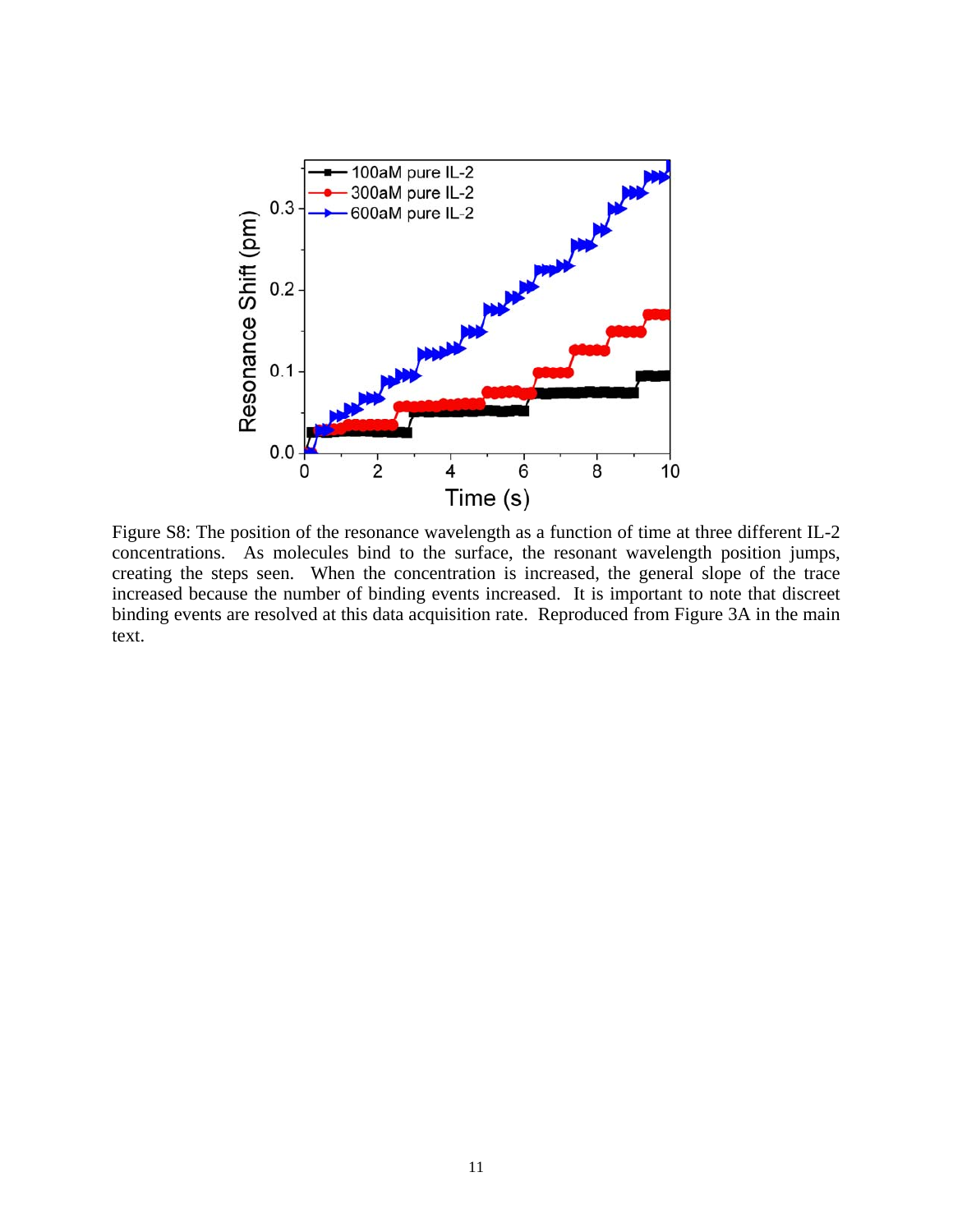

Figure S8: The position of the resonance wavelength as a function of time at three different IL-2 concentrations. As molecules bind to the surface, the resonant wavelength position jumps, creating the steps seen. When the concentration is increased, the general slope of the trace increased because the number of binding events increased. It is important to note that discreet binding events are resolved at this data acquisition rate. Reproduced from Figure 3A in the main text.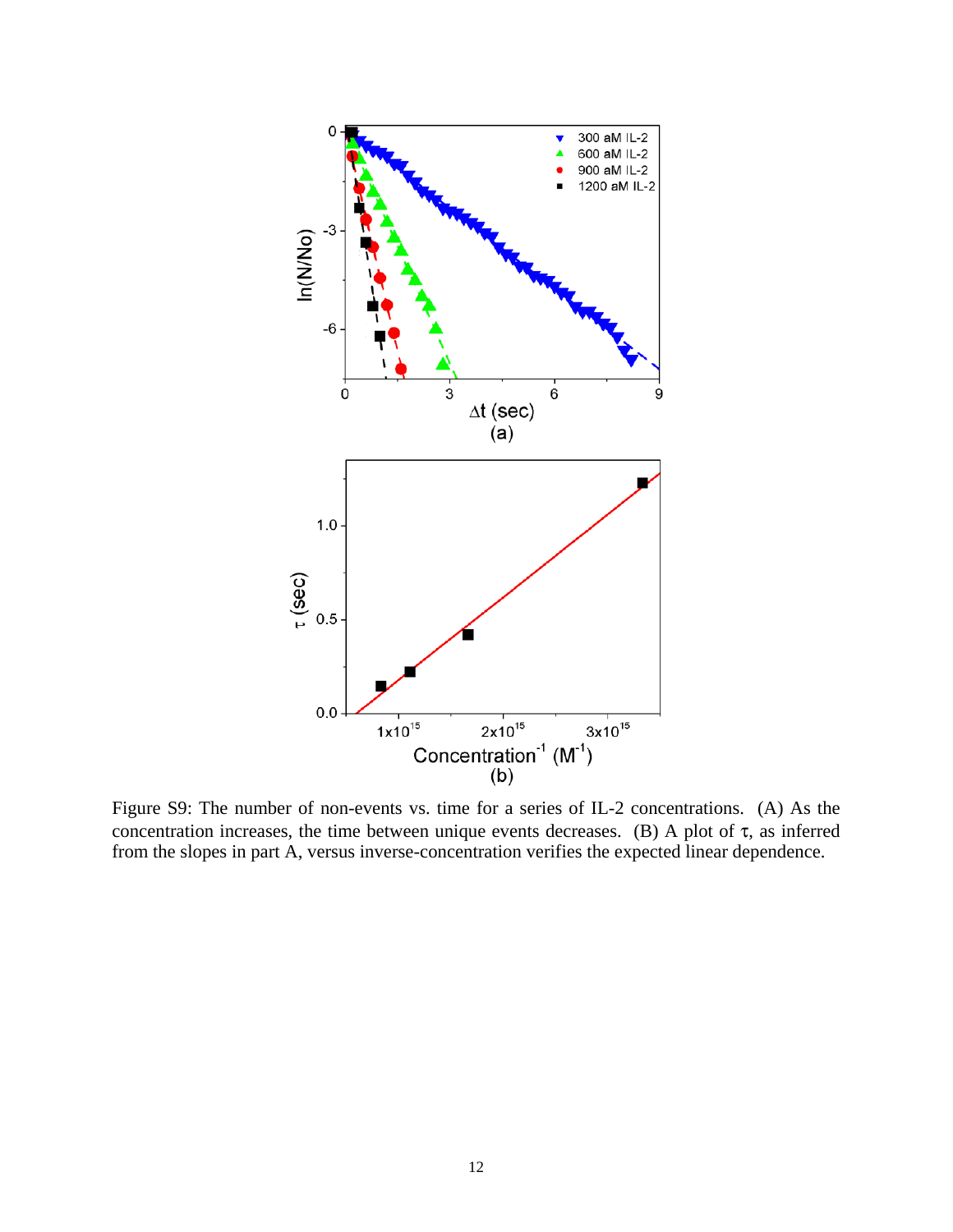

Figure S9: The number of non-events vs. time for a series of IL-2 concentrations. (A) As the concentration increases, the time between unique events decreases. (B) A plot of  $\tau$ , as inferred from the slopes in part A, versus inverse-concentration verifies the expected linear dependence.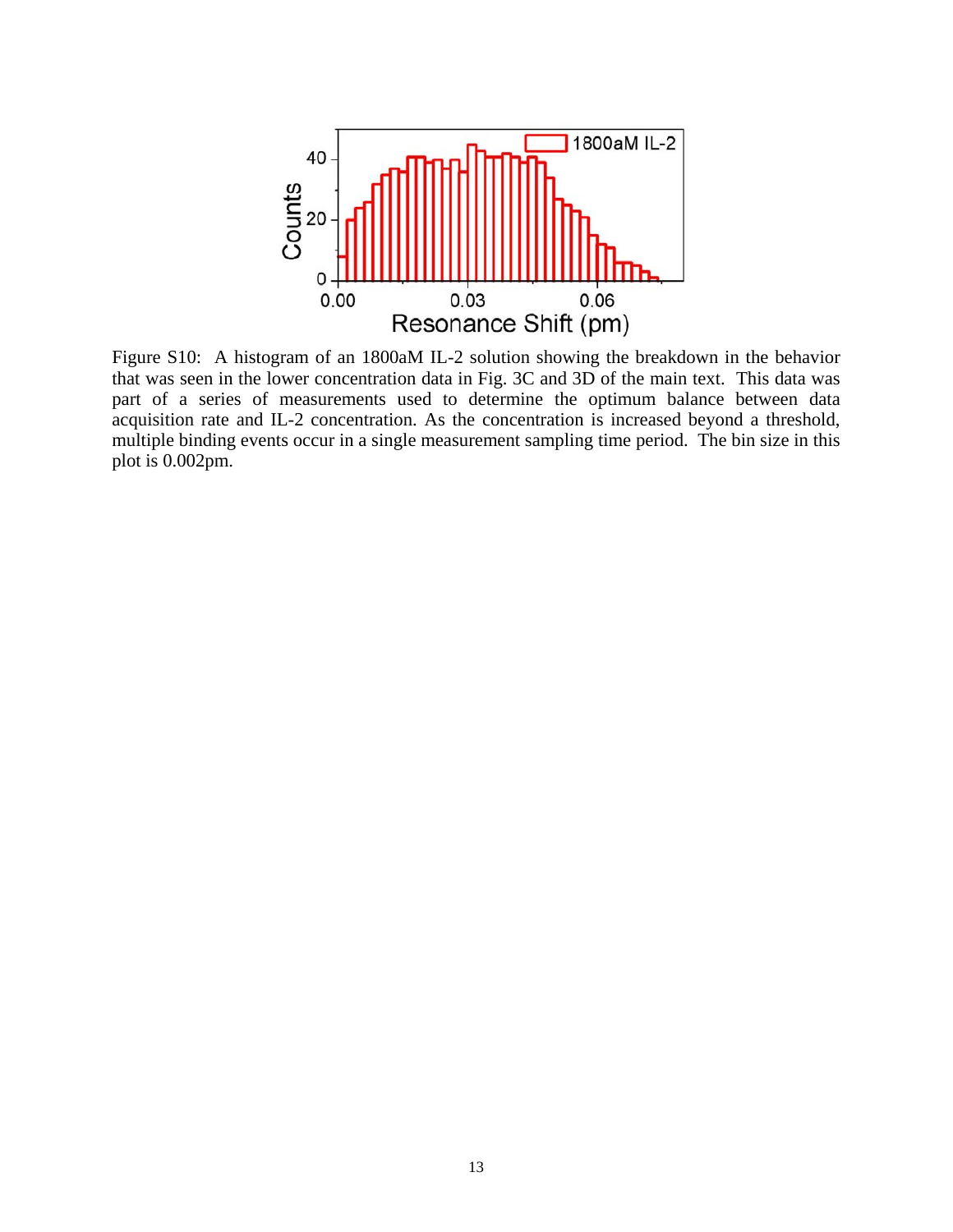

Figure S10: A histogram of an 1800aM IL-2 solution showing the breakdown in the behavior that was seen in the lower concentration data in Fig. 3C and 3D of the main text. This data was part of a series of measurements used to determine the optimum balance between data acquisition rate and IL-2 concentration. As the concentration is increased beyond a threshold, multiple binding events occur in a single measurement sampling time period. The bin size in this plot is 0.002pm.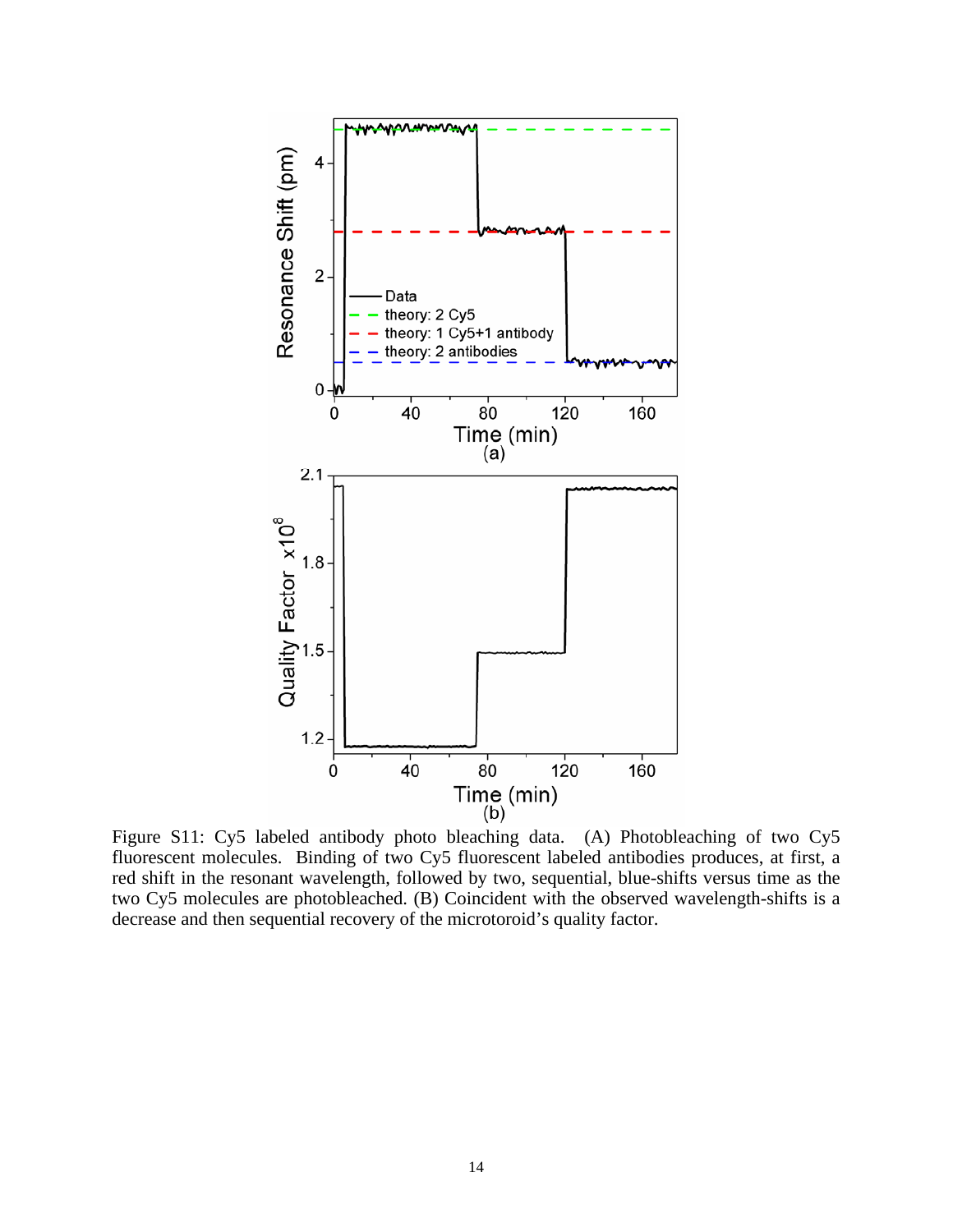

Figure S11: Cy5 labeled antibody photo bleaching data. (A) Photobleaching of two Cy5 fluorescent molecules. Binding of two Cy5 fluorescent labeled antibodies produces, at first, a red shift in the resonant wavelength, followed by two, sequential, blue-shifts versus time as the two Cy5 molecules are photobleached. (B) Coincident with the observed wavelength-shifts is a decrease and then sequential recovery of the microtoroid's quality factor.